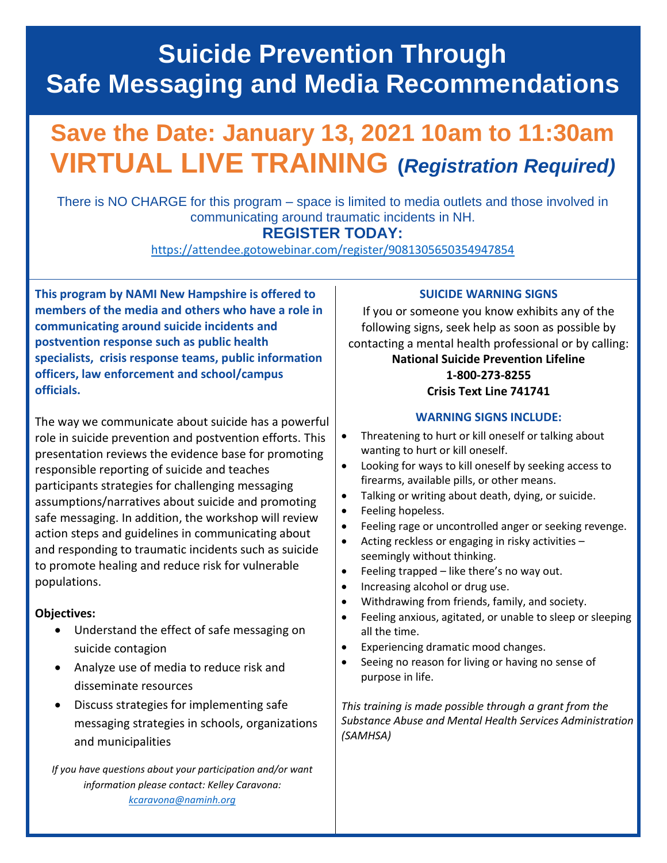## **Suicide Prevention Through Safe Messaging and Media Recommendations**

# **Save the Date: January 13, 2021 10am to 11:30am VIRTUAL LIVE TRAINING (***Registration Required)*

There is NO CHARGE for this program – space is limited to media outlets and those involved in communicating around traumatic incidents in NH.

### **REGISTER TODAY:**

<https://attendee.gotowebinar.com/register/9081305650354947854>

**This program by NAMI New Hampshire is offered to members of the media and others who have a role in communicating around suicide incidents and postvention response such as public health specialists, crisis response teams, public information officers, law enforcement and school/campus officials.** 

The way we communicate about suicide has a powerful role in suicide prevention and postvention efforts. This presentation reviews the evidence base for promoting responsible reporting of suicide and teaches participants strategies for challenging messaging assumptions/narratives about suicide and promoting safe messaging. In addition, the workshop will review action steps and guidelines in communicating about and responding to traumatic incidents such as suicide to promote healing and reduce risk for vulnerable populations.

#### **Objectives:**

- Understand the effect of safe messaging on suicide contagion
- Analyze use of media to reduce risk and disseminate resources
- Discuss strategies for implementing safe messaging strategies in schools, organizations and municipalities

*If you have questions about your participation and/or want information please contact: Kelley Caravona: [kcaravona@naminh.org](mailto:kcaravona@naminh.org)*

### **SUICIDE WARNING SIGNS**

If you or someone you know exhibits any of the following signs, seek help as soon as possible by contacting a mental health professional or by calling:

#### **National Suicide Prevention Lifeline 1-800-273-8255 Crisis Text Line 741741**

### **WARNING SIGNS INCLUDE:**

- Threatening to hurt or kill oneself or talking about wanting to hurt or kill oneself.
- Looking for ways to kill oneself by seeking access to firearms, available pills, or other means.
- Talking or writing about death, dying, or suicide.
- Feeling hopeless.
- Feeling rage or uncontrolled anger or seeking revenge.
- Acting reckless or engaging in risky activities seemingly without thinking.
- Feeling trapped like there's no way out.
- Increasing alcohol or drug use.
- Withdrawing from friends, family, and society.
- Feeling anxious, agitated, or unable to sleep or sleeping all the time.
- Experiencing dramatic mood changes.
- Seeing no reason for living or having no sense of purpose in life.

*This training is made possible through a grant from the Substance Abuse and Mental Health Services Administration (SAMHSA)*